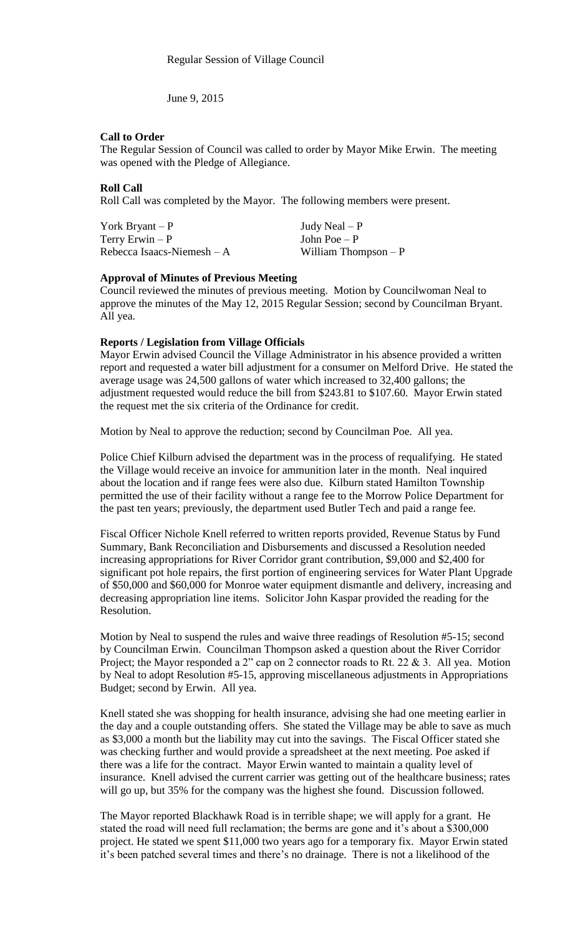June 9, 2015

# **Call to Order**

The Regular Session of Council was called to order by Mayor Mike Erwin. The meeting was opened with the Pledge of Allegiance.

# **Roll Call**

Roll Call was completed by the Mayor. The following members were present.

| York Bryant $-P$            | Judy Neal $- P$       |
|-----------------------------|-----------------------|
| Terry Erwin $-P$            | John Poe $-P$         |
| Rebecca Isaacs-Niemesh $-A$ | William Thompson $-P$ |

### **Approval of Minutes of Previous Meeting**

Council reviewed the minutes of previous meeting. Motion by Councilwoman Neal to approve the minutes of the May 12, 2015 Regular Session; second by Councilman Bryant. All yea.

### **Reports / Legislation from Village Officials**

Mayor Erwin advised Council the Village Administrator in his absence provided a written report and requested a water bill adjustment for a consumer on Melford Drive. He stated the average usage was 24,500 gallons of water which increased to 32,400 gallons; the adjustment requested would reduce the bill from \$243.81 to \$107.60. Mayor Erwin stated the request met the six criteria of the Ordinance for credit.

Motion by Neal to approve the reduction; second by Councilman Poe. All yea.

Police Chief Kilburn advised the department was in the process of requalifying. He stated the Village would receive an invoice for ammunition later in the month. Neal inquired about the location and if range fees were also due. Kilburn stated Hamilton Township permitted the use of their facility without a range fee to the Morrow Police Department for the past ten years; previously, the department used Butler Tech and paid a range fee.

Fiscal Officer Nichole Knell referred to written reports provided, Revenue Status by Fund Summary, Bank Reconciliation and Disbursements and discussed a Resolution needed increasing appropriations for River Corridor grant contribution, \$9,000 and \$2,400 for significant pot hole repairs, the first portion of engineering services for Water Plant Upgrade of \$50,000 and \$60,000 for Monroe water equipment dismantle and delivery, increasing and decreasing appropriation line items. Solicitor John Kaspar provided the reading for the Resolution.

Motion by Neal to suspend the rules and waive three readings of Resolution #5-15; second by Councilman Erwin. Councilman Thompson asked a question about the River Corridor Project; the Mayor responded a 2" cap on 2 connector roads to Rt. 22 & 3. All yea. Motion by Neal to adopt Resolution #5-15, approving miscellaneous adjustments in Appropriations Budget; second by Erwin. All yea.

Knell stated she was shopping for health insurance, advising she had one meeting earlier in the day and a couple outstanding offers. She stated the Village may be able to save as much as \$3,000 a month but the liability may cut into the savings. The Fiscal Officer stated she was checking further and would provide a spreadsheet at the next meeting. Poe asked if there was a life for the contract. Mayor Erwin wanted to maintain a quality level of insurance. Knell advised the current carrier was getting out of the healthcare business; rates will go up, but 35% for the company was the highest she found. Discussion followed.

The Mayor reported Blackhawk Road is in terrible shape; we will apply for a grant. He stated the road will need full reclamation; the berms are gone and it's about a \$300,000 project. He stated we spent \$11,000 two years ago for a temporary fix. Mayor Erwin stated it's been patched several times and there's no drainage. There is not a likelihood of the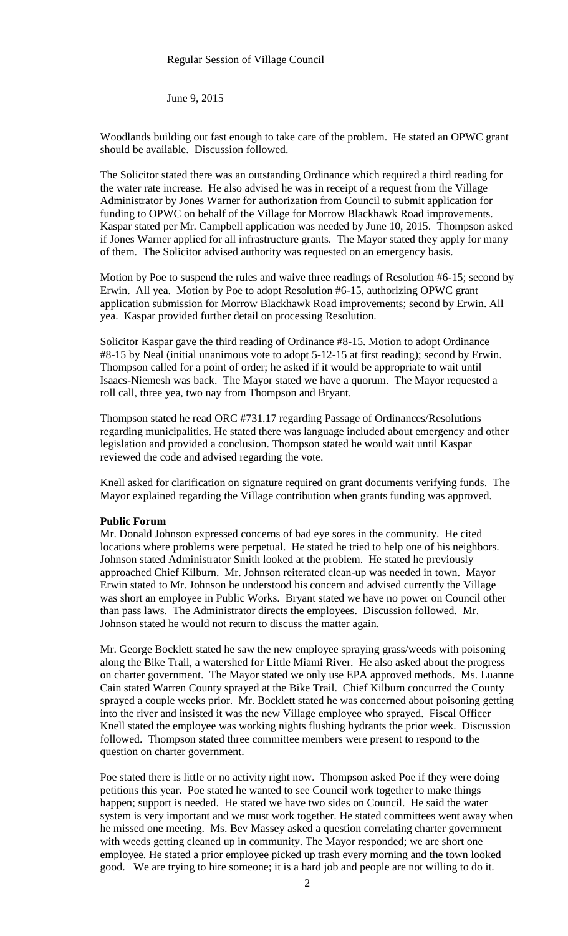June 9, 2015

Woodlands building out fast enough to take care of the problem. He stated an OPWC grant should be available. Discussion followed.

The Solicitor stated there was an outstanding Ordinance which required a third reading for the water rate increase. He also advised he was in receipt of a request from the Village Administrator by Jones Warner for authorization from Council to submit application for funding to OPWC on behalf of the Village for Morrow Blackhawk Road improvements. Kaspar stated per Mr. Campbell application was needed by June 10, 2015. Thompson asked if Jones Warner applied for all infrastructure grants. The Mayor stated they apply for many of them. The Solicitor advised authority was requested on an emergency basis.

Motion by Poe to suspend the rules and waive three readings of Resolution #6-15; second by Erwin. All yea. Motion by Poe to adopt Resolution #6-15, authorizing OPWC grant application submission for Morrow Blackhawk Road improvements; second by Erwin. All yea. Kaspar provided further detail on processing Resolution.

Solicitor Kaspar gave the third reading of Ordinance #8-15. Motion to adopt Ordinance #8-15 by Neal (initial unanimous vote to adopt 5-12-15 at first reading); second by Erwin. Thompson called for a point of order; he asked if it would be appropriate to wait until Isaacs-Niemesh was back. The Mayor stated we have a quorum. The Mayor requested a roll call, three yea, two nay from Thompson and Bryant.

Thompson stated he read ORC #731.17 regarding Passage of Ordinances/Resolutions regarding municipalities. He stated there was language included about emergency and other legislation and provided a conclusion. Thompson stated he would wait until Kaspar reviewed the code and advised regarding the vote.

Knell asked for clarification on signature required on grant documents verifying funds. The Mayor explained regarding the Village contribution when grants funding was approved.

# **Public Forum**

Mr. Donald Johnson expressed concerns of bad eye sores in the community. He cited locations where problems were perpetual. He stated he tried to help one of his neighbors. Johnson stated Administrator Smith looked at the problem. He stated he previously approached Chief Kilburn. Mr. Johnson reiterated clean-up was needed in town. Mayor Erwin stated to Mr. Johnson he understood his concern and advised currently the Village was short an employee in Public Works. Bryant stated we have no power on Council other than pass laws. The Administrator directs the employees. Discussion followed. Mr. Johnson stated he would not return to discuss the matter again.

Mr. George Bocklett stated he saw the new employee spraying grass/weeds with poisoning along the Bike Trail, a watershed for Little Miami River. He also asked about the progress on charter government. The Mayor stated we only use EPA approved methods. Ms. Luanne Cain stated Warren County sprayed at the Bike Trail. Chief Kilburn concurred the County sprayed a couple weeks prior. Mr. Bocklett stated he was concerned about poisoning getting into the river and insisted it was the new Village employee who sprayed. Fiscal Officer Knell stated the employee was working nights flushing hydrants the prior week. Discussion followed. Thompson stated three committee members were present to respond to the question on charter government.

Poe stated there is little or no activity right now. Thompson asked Poe if they were doing petitions this year. Poe stated he wanted to see Council work together to make things happen; support is needed. He stated we have two sides on Council. He said the water system is very important and we must work together. He stated committees went away when he missed one meeting. Ms. Bev Massey asked a question correlating charter government with weeds getting cleaned up in community. The Mayor responded; we are short one employee. He stated a prior employee picked up trash every morning and the town looked good. We are trying to hire someone; it is a hard job and people are not willing to do it.